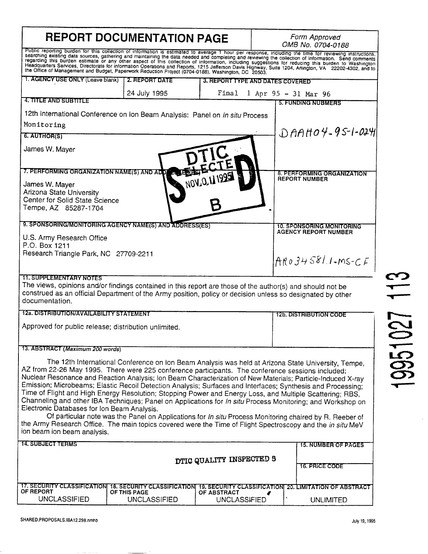| <b>REPORT DOCUMENTATION PAGE</b>                                                                                                                                                                                                                                                                                                                                                                                                                                                                                                                                                                                                                                                                                                                                                                                                                                                                                                                                        |                                                                         |                                    |                                  | Form Approved<br>OMB No. 0704-0188                     |  |  |  |
|-------------------------------------------------------------------------------------------------------------------------------------------------------------------------------------------------------------------------------------------------------------------------------------------------------------------------------------------------------------------------------------------------------------------------------------------------------------------------------------------------------------------------------------------------------------------------------------------------------------------------------------------------------------------------------------------------------------------------------------------------------------------------------------------------------------------------------------------------------------------------------------------------------------------------------------------------------------------------|-------------------------------------------------------------------------|------------------------------------|----------------------------------|--------------------------------------------------------|--|--|--|
| Public reporting burden for this collection of information is estimated to average 1 hour per response, including the time for reviewing instructions,<br>searching existing data sources, gathering and maintaining the data needed and completing and reviewing the collection of information. Send comments regarding this burden estimate or any other aspect of this collection of<br>Headquarters Services, Directorate for information Operations and Reports, 1215 Jefferson Davis Highway, Suite 1204, Anington, VA 22202-4302, and to<br>the Office of Management and Budget, Paperwork Reduction Project (0704-01                                                                                                                                                                                                                                                                                                                                            |                                                                         |                                    |                                  |                                                        |  |  |  |
| 1. AGENCY USE ONLY (Leave blank)                                                                                                                                                                                                                                                                                                                                                                                                                                                                                                                                                                                                                                                                                                                                                                                                                                                                                                                                        | 2. REPORT DATE                                                          |                                    | 3. REPORT TYPE AND DATES COVERED |                                                        |  |  |  |
|                                                                                                                                                                                                                                                                                                                                                                                                                                                                                                                                                                                                                                                                                                                                                                                                                                                                                                                                                                         | 24 July 1995                                                            | Final                              | 1 Apr 95 - 31 Mar 96             |                                                        |  |  |  |
| 4. TITLE AND SUBTITLE                                                                                                                                                                                                                                                                                                                                                                                                                                                                                                                                                                                                                                                                                                                                                                                                                                                                                                                                                   |                                                                         |                                    |                                  | <b>5. FUNDING NUBMERS</b>                              |  |  |  |
| 12th International Conference on Ion Beam Analysis: Panel on In situ Process                                                                                                                                                                                                                                                                                                                                                                                                                                                                                                                                                                                                                                                                                                                                                                                                                                                                                            |                                                                         |                                    |                                  |                                                        |  |  |  |
| Monitoring                                                                                                                                                                                                                                                                                                                                                                                                                                                                                                                                                                                                                                                                                                                                                                                                                                                                                                                                                              |                                                                         | $DAAHO4-95-1-024$                  |                                  |                                                        |  |  |  |
| <b>6. AUTHOR(S)</b>                                                                                                                                                                                                                                                                                                                                                                                                                                                                                                                                                                                                                                                                                                                                                                                                                                                                                                                                                     |                                                                         |                                    |                                  |                                                        |  |  |  |
| James W. Mayer                                                                                                                                                                                                                                                                                                                                                                                                                                                                                                                                                                                                                                                                                                                                                                                                                                                                                                                                                          |                                                                         |                                    |                                  |                                                        |  |  |  |
| 7. PERFORMING ORGANIZATION NAME(S) AND ADD A SECUS                                                                                                                                                                                                                                                                                                                                                                                                                                                                                                                                                                                                                                                                                                                                                                                                                                                                                                                      |                                                                         |                                    |                                  | 8. PERFORMING ORGANIZATION                             |  |  |  |
| James W. Mayer<br>Arizona State University<br>Center for Solid State Science<br>Tempe, AZ 85287-1704                                                                                                                                                                                                                                                                                                                                                                                                                                                                                                                                                                                                                                                                                                                                                                                                                                                                    |                                                                         | NOV.O.111995                       |                                  | <b>REPORT NUMBER</b>                                   |  |  |  |
| 9. SPONSORING/MONITORING AGENCY NAME(S) AND ADDRESS(ES)                                                                                                                                                                                                                                                                                                                                                                                                                                                                                                                                                                                                                                                                                                                                                                                                                                                                                                                 |                                                                         |                                    |                                  | <b>10. SPONSORING MONITORING</b>                       |  |  |  |
| U.S. Army Research Office<br>P.O. Box 1211<br>Research Triangle Park, NC 27709-2211                                                                                                                                                                                                                                                                                                                                                                                                                                                                                                                                                                                                                                                                                                                                                                                                                                                                                     |                                                                         |                                    |                                  | <b>AGENCY REPORT NUMBER</b><br>$AR034581.1\cdot MS-CF$ |  |  |  |
| <b>11. SUPPLEMENTARY NOTES</b><br>The views, opinions and/or findings contained in this report are those of the author(s) and should not be<br>construed as an official Department of the Army position, policy or decision unless so designated by other<br>documentation.                                                                                                                                                                                                                                                                                                                                                                                                                                                                                                                                                                                                                                                                                             |                                                                         |                                    |                                  |                                                        |  |  |  |
| 12a. DISTRIBUTION/AVAILABILITY STATEMENT                                                                                                                                                                                                                                                                                                                                                                                                                                                                                                                                                                                                                                                                                                                                                                                                                                                                                                                                |                                                                         | <b>12b. DISTRIBUTION CODE</b>      |                                  |                                                        |  |  |  |
| Approved for public release; distribution unlimited.                                                                                                                                                                                                                                                                                                                                                                                                                                                                                                                                                                                                                                                                                                                                                                                                                                                                                                                    |                                                                         |                                    |                                  |                                                        |  |  |  |
| 13. ABSTRACT (Maximum 200 words)                                                                                                                                                                                                                                                                                                                                                                                                                                                                                                                                                                                                                                                                                                                                                                                                                                                                                                                                        |                                                                         |                                    |                                  |                                                        |  |  |  |
| The 12th International Conference on Ion Beam Analysis was held at Arizona State University, Tempe,<br>AZ from 22-26 May 1995. There were 225 conference participants. The conference sessions included:<br>Nuclear Resonance and Reaction Analysis; Ion Beam Characterization of New Materials; Particle-Induced X-ray<br>Emission; Microbeams; Elastic Recoil Detection Analysis; Surfaces and Interfaces; Synthesis and Processing;<br>Time of Flight and High Energy Resolution; Stopping Power and Energy Loss, and Multiple Scattering; RBS,<br>Channeling and other IBA Techniques; Panel on Applications for In situ Process Monitoring; and Workshop on<br>Electronic Databases for Ion Beam Analysis.<br>Of particular note was the Panel on Applications for In situ Process Monitoring chaired by R. Reeber of<br>the Army Research Office. The main topics covered were the Time of Flight Spectroscopy and the in situ MeV<br>ion beam ion beam analysis. |                                                                         |                                    |                                  |                                                        |  |  |  |
| 14. SUBJECT TERMS                                                                                                                                                                                                                                                                                                                                                                                                                                                                                                                                                                                                                                                                                                                                                                                                                                                                                                                                                       |                                                                         |                                    |                                  | <b>15. NUMBER OF PAGES</b>                             |  |  |  |
| DTIC QUALITY INSPECTED 5                                                                                                                                                                                                                                                                                                                                                                                                                                                                                                                                                                                                                                                                                                                                                                                                                                                                                                                                                |                                                                         |                                    |                                  | <b>16. PRICE CODE</b>                                  |  |  |  |
| <b>17. SECURITY CLASSIFICATIONI</b><br>OF REPORT                                                                                                                                                                                                                                                                                                                                                                                                                                                                                                                                                                                                                                                                                                                                                                                                                                                                                                                        | 18. SECURITY CLASSIFICATION 19. SECURITY CLASSIFICATION<br>OF THIS PAGE |                                    |                                  | <b>20. LIMITATION OF ABSTRACT</b>                      |  |  |  |
| <b>UNCLASSIFIED</b>                                                                                                                                                                                                                                                                                                                                                                                                                                                                                                                                                                                                                                                                                                                                                                                                                                                                                                                                                     | <b>UNCLASSIFIED</b>                                                     | OF ABSTRACT<br><b>UNCLASSIFIED</b> |                                  | <b>UNLIMITED</b>                                       |  |  |  |

 $\overline{\phantom{a}}$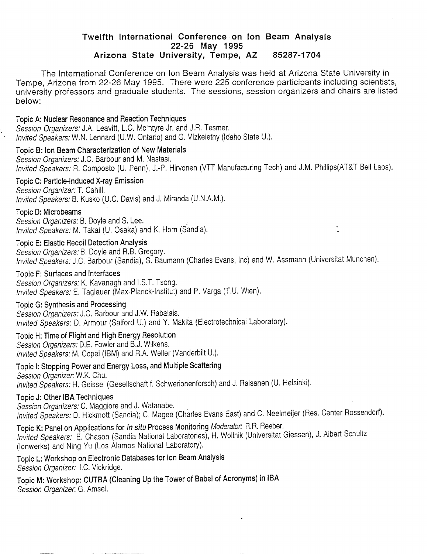# **Twelfth International Conference on Ion Beam Analysis 22-26 May 1995 Arizona State University, Tempe, AZ 85287-1704**

The International Conference on Ion Beam Analysis was held at Arizona State University in Tempe, Arizona from 22-26 May 1995. There were 225 conference participants including scientists, university professors and graduate students. The sessions, session organizers and chairs are listed below:

#### Topic A: Nuclear Resonance and Reaction Techniques

*Session Organizers:* J.A. Leavitt, L.C. Mclntyre Jr. and J.R. Tesmer. *Invited Speakers: W.U.* Lennard (U.W. Ontario) and G. Vizkelethy (Idaho State U.).

Topic B: Ion Beam Characterization of New Materials *Session Organizers:* J.C. Barbour and M. Nastasi. *Invited Speakers:* R. Composto (U. Penn), J.-P. Hirvonen (VTT Manufacturing Tech) and J.M. Phillips(AT&T Bell Labs).

Topic C: Particle-Induced X-ray Emission *Session Organizer:!.* Cahill.

*Invited Speakers:* B. Kusko (U.C. Davis) and J. Miranda (U.N.A.M.).

### Topic D: Microbeams

*Session Organizers:* B. Doyle and S. Lee. *Invited Speakers:* M. Takai (U. Osaka) and K. Horn (Sandia).

Topic E: Elastic Recoil Detection Analysis

*Session Organizers:* B. Doyle and R.B. Gregory.

*Invited Speakers:* J.C. Barbour (Sandia), S. Baumann (Charles Evans, Inc) and W. Assmann (Universität München).

#### Topic F: Surfaces and Interfaces

*Session Organizers:* K. Kavanagh and I.ST. Tsong. *Invited Speakers:* E. Taglauer (Max-Planck-lnstitut) and P. Varga (T.U. Wien).

#### Topic G: Synthesis and Processing

*Session Organizers:* J.C. Barbour and J.W. Rabalais. *Invited Speakers:* D. Armour (Salford U.) and Y. Makita (Electrotechnical Laboratory).

## Topic H: Time of Flight and High Energy Resolution

*Session Organizers:* D.E. Fowler and B.J. Wilkens. *Invited Speakers:* M. Copel (IBM) and R.A. Weiler (Vanderbilt U.).

Topic I: Stopping Power and Energy Loss, and Multiple Scattering *Session Organizer:* W.K. Chu. *Invited Speakers:* H. Geissei (Gesellschaft f. Schwerionenforsch) and J. Raisanen (U. Helsinki).

#### Topic J: Other IBA Techniques

Session *Organizers:* C. Maggiore and J. Watanabe. *Invited Speakers: D. Hickmott (Sandia); C. Magee (Charles Evans East) and C. Neelmeijer (Res. Center Rossendorf).* 

Topic K: Panel on Applications for *In situ* Process Monitoring *Moderator.* R.R. Reeber.

*Invited Speakers:* E. Chason (Sandia National Laboratories), H. Wollnik (Universität Giessen), J. Albert Schultz (lonwerks) and Ning Yu (Los Alamos National Laboratory).

Topic L: Workshop on Electronic Databases for Ion Beam Analysis *Session Organizer:* I.C. Vickridge.

Topic M: Workshop: CUTBA (Cleaning Up the Tower of Babel of Acronyms) in IBA *Session Organizer.* G. Amsel.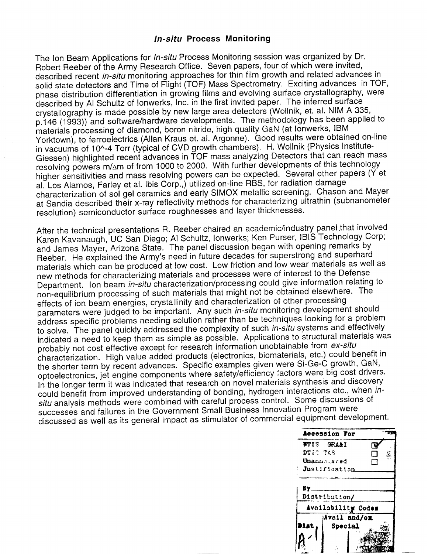### *In-situ* **Process Monitoring**

The Ion Beam Applications for *In-situ* Process Monitoring session was organized by Dr. Robert Reeber of the Army Research Office. Seven papers, four of which were invited, described recent *in-situ* monitoring approaches for thin film growth and related advances in solid state detectors and Time of Flight (TOF) Mass Spectrometry. Exciting advances in TOF, phase distribution differentiation in growing films and evolving surface crystallography, were described by Al Schultz of lonwerks, Inc. in the first invited paper. The inferred surface crystallography is made possible by new large area detectors (Wollnik, et. al. NIM A 335, p.146 (1993)) and software/hardware developments. The methodology has been applied to materials processing of diamond, boron nitride, high quality GaN (at lonwerks, IBM Yorktown), to ferroelectrics (Allan Kraus et. al. Argonne). Good results were obtained on-line in vacuums of 10^-4 Torr (typical of CVD growth chambers). H. Wollnik (Physics Institute-Giessen) highlighted recent advances in TOF mass analyzing Detectors that can reach mass resolving powers m/ $\Delta$ m of from 1000 to 2000. With further developments of this technology higher sensitivities and mass resolving powers can be expected. Several other papers (Y et al. Los Alamos, Farley et al. Ibis Corp.,) utilized on-line RBS, for radiation damage characterization of sol gel ceramics and early SIMOX metallic screening. Chason and Mayer at Sandia described their x-ray reflectivity methods for characterizing ultrathin (subnanometer resolution) semiconductor surface roughnesses and layer thicknesses.

After the technical presentations R. Reeber chaired an academic/industry panel that involved Karen Kavanaugh, UC San Diego; Al Schultz, lonwerks; Ken Purser, IBIS Technology Corp; and James Mayer, Arizona State. The panel discussion began with opening remarks by Reeber. He explained the Army's need in future decades for superstrong and superhard materials which can be produced at low cost. Low friction and low wear materials as well as new methods for characterizing materials and processes were of interest to the Defense Department. Ion beam *in-situ* characterization/processing could give information relating to non-equilibrium processing of such materials that might not be obtained elsewhere. The effects of ion beam energies, crystallinity and characterization of other processing parameters were judged to be important. Any such *in-situ* monitoring development should address specific problems needing solution rather than be techniques looking for a problem to solve. The panel quickly addressed the complexity of such *in-situ* systems and effectively indicated a need to keep them as simple as possible. Applications to structural materials was probably not cost effective except for research information unobtainable from *ex-situ* characterization. High value added products (electronics, biomaterials, etc.) could benefit in the shorter term by recent advances. Specific examples given were Si-Ge-C growth, GaN, optoelectronics, jet engine components where safety/efficiency factors were big cost drivers. In the longer term it was indicated that research on novel materials synthesis and discovery could benefit from improved understanding of bonding, hydrogen interactions etc., when in*situ* analysis methods were combined with careful process control. Some discussions of successes and failures in the Government Small Business Innovation Program were discussed as well as its general impact as stimulator of commercial equipment development.

|             | Accession For      |  |  |
|-------------|--------------------|--|--|
|             | <b>NTIS GRAAI</b>  |  |  |
| DTIC TAB    |                    |  |  |
| Unannsarced | - 1                |  |  |
|             | Justification.     |  |  |
|             |                    |  |  |
| By          |                    |  |  |
|             | Distribution/      |  |  |
|             | Availability Codes |  |  |
|             | Avail and/ox       |  |  |
|             | Special            |  |  |
|             |                    |  |  |
|             |                    |  |  |
|             |                    |  |  |